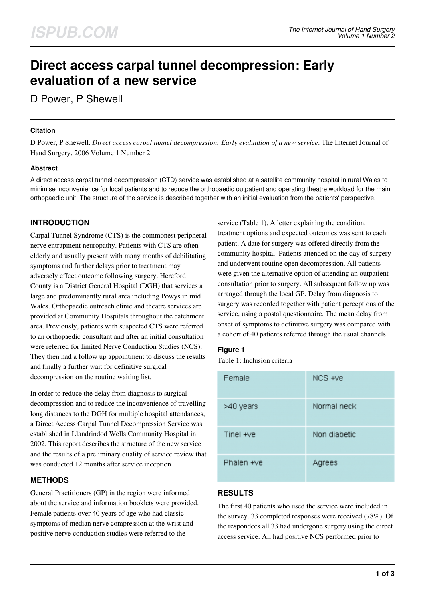# **Direct access carpal tunnel decompression: Early evaluation of a new service**

D Power, P Shewell

#### **Citation**

D Power, P Shewell. *Direct access carpal tunnel decompression: Early evaluation of a new service*. The Internet Journal of Hand Surgery. 2006 Volume 1 Number 2.

## **Abstract**

A direct access carpal tunnel decompression (CTD) service was established at a satellite community hospital in rural Wales to minimise inconvenience for local patients and to reduce the orthopaedic outpatient and operating theatre workload for the main orthopaedic unit. The structure of the service is described together with an initial evaluation from the patients' perspective.

# **INTRODUCTION**

Carpal Tunnel Syndrome (CTS) is the commonest peripheral nerve entrapment neuropathy. Patients with CTS are often elderly and usually present with many months of debilitating symptoms and further delays prior to treatment may adversely effect outcome following surgery. Hereford County is a District General Hospital (DGH) that services a large and predominantly rural area including Powys in mid Wales. Orthopaedic outreach clinic and theatre services are provided at Community Hospitals throughout the catchment area. Previously, patients with suspected CTS were referred to an orthopaedic consultant and after an initial consultation were referred for limited Nerve Conduction Studies (NCS). They then had a follow up appointment to discuss the results and finally a further wait for definitive surgical decompression on the routine waiting list.

In order to reduce the delay from diagnosis to surgical decompression and to reduce the inconvenience of travelling long distances to the DGH for multiple hospital attendances, a Direct Access Carpal Tunnel Decompression Service was established in Llandrindod Wells Community Hospital in 2002. This report describes the structure of the new service and the results of a preliminary quality of service review that was conducted 12 months after service inception.

# **METHODS**

General Practitioners (GP) in the region were informed about the service and information booklets were provided. Female patients over 40 years of age who had classic symptoms of median nerve compression at the wrist and positive nerve conduction studies were referred to the

service (Table 1). A letter explaining the condition, treatment options and expected outcomes was sent to each patient. A date for surgery was offered directly from the community hospital. Patients attended on the day of surgery and underwent routine open decompression. All patients were given the alternative option of attending an outpatient consultation prior to surgery. All subsequent follow up was arranged through the local GP. Delay from diagnosis to surgery was recorded together with patient perceptions of the service, using a postal questionnaire. The mean delay from onset of symptoms to definitive surgery was compared with a cohort of 40 patients referred through the usual channels.

# **Figure 1**

Table 1: Inclusion criteria

| Female     | NCS +ve      |
|------------|--------------|
| >40 years  | Normal neck  |
| Tinel +ve  | Non diabetic |
| Phalen +ve | Agrees       |

# **RESULTS**

The first 40 patients who used the service were included in the survey. 33 completed responses were received (78%). Of the respondees all 33 had undergone surgery using the direct access service. All had positive NCS performed prior to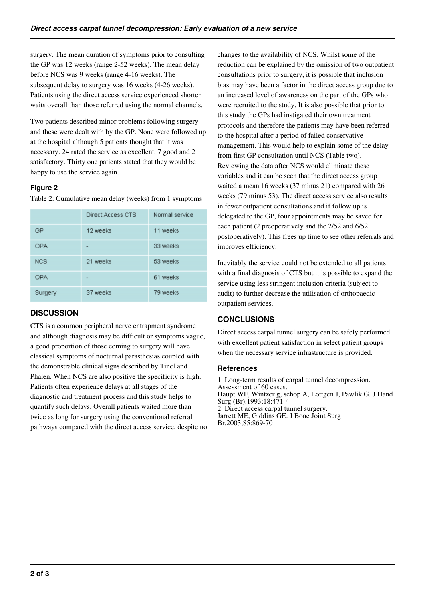surgery. The mean duration of symptoms prior to consulting the GP was 12 weeks (range 2-52 weeks). The mean delay before NCS was 9 weeks (range 4-16 weeks). The subsequent delay to surgery was 16 weeks (4-26 weeks). Patients using the direct access service experienced shorter waits overall than those referred using the normal channels.

Two patients described minor problems following surgery and these were dealt with by the GP. None were followed up at the hospital although 5 patients thought that it was necessary. 24 rated the service as excellent, 7 good and 2 satisfactory. Thirty one patients stated that they would be happy to use the service again.

## **Figure 2**

Table 2: Cumulative mean delay (weeks) from 1 symptoms

|            | Direct Access CTS            | Normal service |
|------------|------------------------------|----------------|
| GP         | 12 weeks                     | 11 weeks       |
| <b>OPA</b> | $\qquad \qquad \blacksquare$ | 33 weeks       |
| <b>NCS</b> | 21 weeks                     | 53 weeks       |
| <b>OPA</b> |                              | 61 weeks       |
| Surgery    | 37 weeks                     | 79 weeks       |

# **DISCUSSION**

CTS is a common peripheral nerve entrapment syndrome and although diagnosis may be difficult or symptoms vague, a good proportion of those coming to surgery will have classical symptoms of nocturnal parasthesias coupled with the demonstrable clinical signs described by Tinel and Phalen. When NCS are also positive the specificity is high. Patients often experience delays at all stages of the diagnostic and treatment process and this study helps to quantify such delays. Overall patients waited more than twice as long for surgery using the conventional referral pathways compared with the direct access service, despite no changes to the availability of NCS. Whilst some of the reduction can be explained by the omission of two outpatient consultations prior to surgery, it is possible that inclusion bias may have been a factor in the direct access group due to an increased level of awareness on the part of the GPs who were recruited to the study. It is also possible that prior to this study the GPs had instigated their own treatment protocols and therefore the patients may have been referred to the hospital after a period of failed conservative management. This would help to explain some of the delay from first GP consultation until NCS (Table two). Reviewing the data after NCS would eliminate these variables and it can be seen that the direct access group waited a mean 16 weeks (37 minus 21) compared with 26 weeks (79 minus 53). The direct access service also results in fewer outpatient consultations and if follow up is delegated to the GP, four appointments may be saved for each patient (2 preoperatively and the 2/52 and 6/52 postoperatively). This frees up time to see other referrals and improves efficiency.

Inevitably the service could not be extended to all patients with a final diagnosis of CTS but it is possible to expand the service using less stringent inclusion criteria (subject to audit) to further decrease the utilisation of orthopaedic outpatient services.

# **CONCLUSIONS**

Direct access carpal tunnel surgery can be safely performed with excellent patient satisfaction in select patient groups when the necessary service infrastructure is provided.

#### **References**

1. Long-term results of carpal tunnel decompression. Assessment of 60 cases. Haupt WF, Wintzer g, schop A, Lottgen J, Pawlik G. J Hand Surg (Br).1993;18:471-4 2. Direct access carpal tunnel surgery. Jarrett ME, Giddins GE. J Bone Joint Surg Br.2003;85:869-70